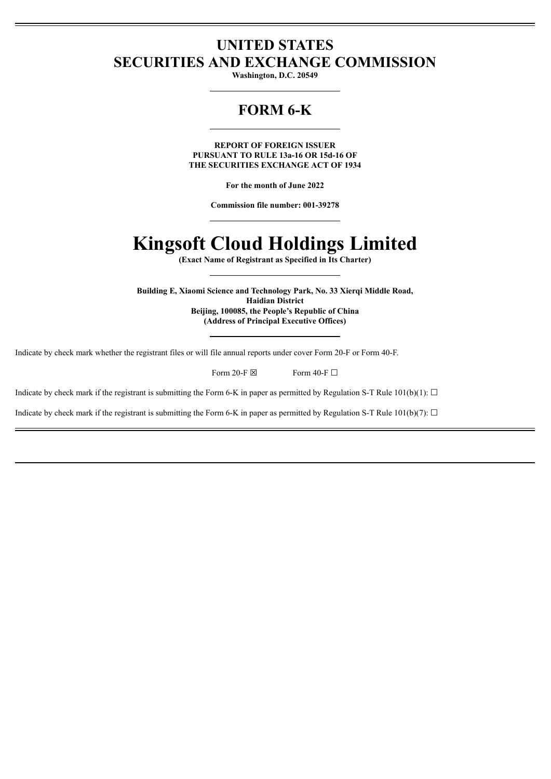# **UNITED STATES SECURITIES AND EXCHANGE COMMISSION**

**Washington, D.C. 20549**

# **FORM 6-K**

**REPORT OF FOREIGN ISSUER PURSUANT TO RULE 13a-16 OR 15d-16 OF THE SECURITIES EXCHANGE ACT OF 1934**

**For the month of June 2022**

**Commission file number: 001-39278**

# **Kingsoft Cloud Holdings Limited**

**(Exact Name of Registrant as Specified in Its Charter)**

**Building E, Xiaomi Science and Technology Park, No. 33 Xierqi Middle Road, Haidian District Beijing, 100085, the People's Republic of China (Address of Principal Executive Offices)**

Indicate by check mark whether the registrant files or will file annual reports under cover Form 20-F or Form 40-F.

Form 20-F  $\boxtimes$  Form 40-F  $\Box$ 

Indicate by check mark if the registrant is submitting the Form 6-K in paper as permitted by Regulation S-T Rule 101(b)(1):  $\Box$ 

Indicate by check mark if the registrant is submitting the Form 6-K in paper as permitted by Regulation S-T Rule 101(b)(7):  $\Box$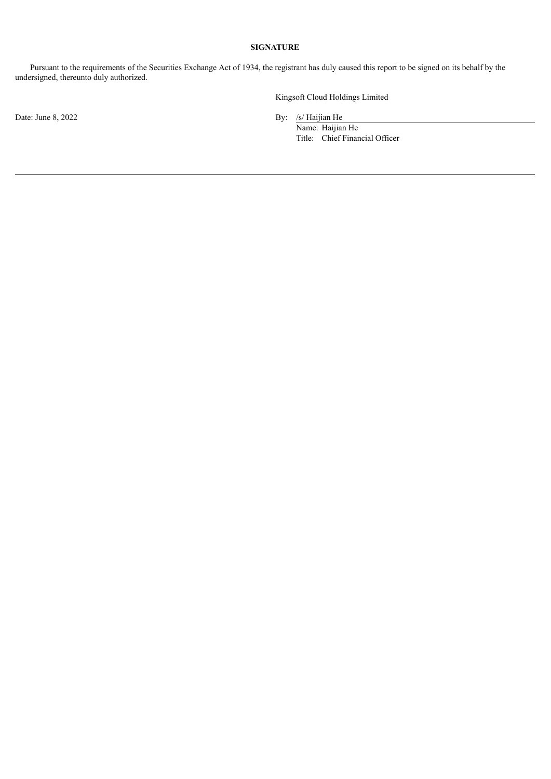# **SIGNATURE**

Pursuant to the requirements of the Securities Exchange Act of 1934, the registrant has duly caused this report to be signed on its behalf by the undersigned, thereunto duly authorized.

Date: June 8, 2022 By: /s/ Haijian He

Kingsoft Cloud Holdings Limited

Name: Haijian He Title: Chief Financial Officer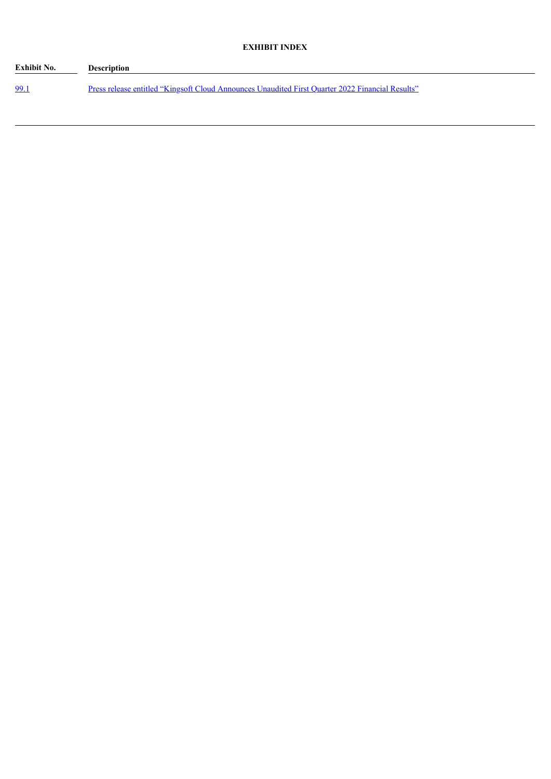| <b>Exhibit No.</b> | Description                                                                                      |
|--------------------|--------------------------------------------------------------------------------------------------|
| 99.1               | Press release entitled "Kingsoft Cloud Announces Unaudited First Quarter 2022 Financial Results" |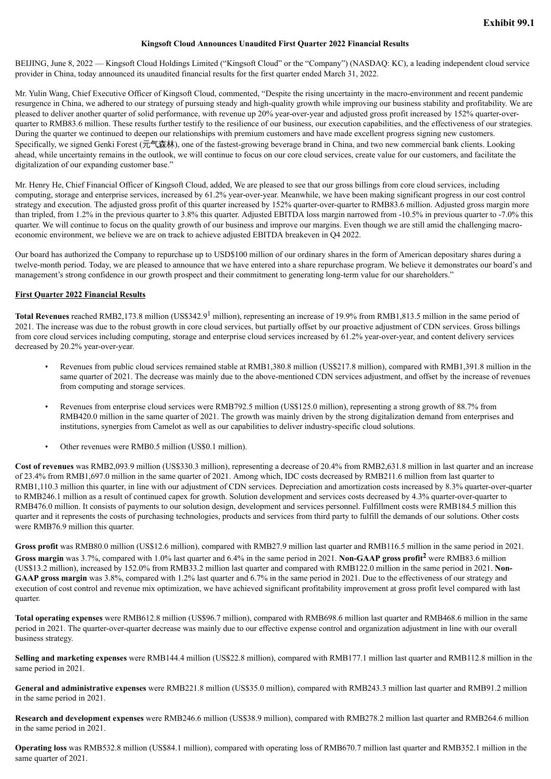#### **Kingsoft Cloud Announces Unaudited First Quarter 2022 Financial Results**

<span id="page-3-0"></span>BEIJING, June 8, 2022 — Kingsoft Cloud Holdings Limited ("Kingsoft Cloud" or the "Company") (NASDAQ: KC), a leading independent cloud service provider in China, today announced its unaudited financial results for the first quarter ended March 31, 2022.

Mr. Yulin Wang, Chief Executive Officer of Kingsoft Cloud, commented, "Despite the rising uncertainty in the macro-environment and recent pandemic resurgence in China, we adhered to our strategy of pursuing steady and high-quality growth while improving our business stability and profitability. We are pleased to deliver another quarter of solid performance, with revenue up 20% year-over-year and adjusted gross profit increased by 152% quarter-overquarter to RMB83.6 million. These results further testify to the resilience of our business, our execution capabilities, and the effectiveness of our strategies. During the quarter we continued to deepen our relationships with premium customers and have made excellent progress signing new customers. Specifically, we signed Genki Forest (元气森林), one of the fastest-growing beverage brand in China, and two new commercial bank clients. Looking ahead, while uncertainty remains in the outlook, we will continue to focus on our core cloud services, create value for our customers, and facilitate the digitalization of our expanding customer base."

Mr. Henry He, Chief Financial Officer of Kingsoft Cloud, added, We are pleased to see that our gross billings from core cloud services, including computing, storage and enterprise services, increased by 61.2% year-over-year. Meanwhile, we have been making significant progress in our cost control strategy and execution. The adjusted gross profit of this quarter increased by 152% quarter-over-quarter to RMB83.6 million. Adjusted gross margin more than tripled, from 1.2% in the previous quarter to 3.8% this quarter. Adjusted EBITDA loss margin narrowed from -10.5% in previous quarter to -7.0% this quarter. We will continue to focus on the quality growth of our business and improve our margins. Even though we are still amid the challenging macroeconomic environment, we believe we are on track to achieve adjusted EBITDA breakeven in Q4 2022.

Our board has authorized the Company to repurchase up to USD\$100 million of our ordinary shares in the form of American depositary shares during a twelve-month period. Today, we are pleased to announce that we have entered into a share repurchase program. We believe it demonstrates our board's and management's strong confidence in our growth prospect and their commitment to generating long-term value for our shareholders."

#### **First Quarter 2022 Financial Results**

**Total Revenues** reached RMB2,173.8 million (US\$342.9<sup>1</sup> million), representing an increase of 19.9% from RMB1,813.5 million in the same period of 2021. The increase was due to the robust growth in core cloud services, but partially offset by our proactive adjustment of CDN services. Gross billings from core cloud services including computing, storage and enterprise cloud services increased by 61.2% year-over-year, and content delivery services decreased by 20.2% year-over-year.

- Revenues from public cloud services remained stable at RMB1,380.8 million (US\$217.8 million), compared with RMB1,391.8 million in the same quarter of 2021. The decrease was mainly due to the above-mentioned CDN services adjustment, and offset by the increase of revenues from computing and storage services.
- Revenues from enterprise cloud services were RMB792.5 million (US\$125.0 million), representing a strong growth of 88.7% from RMB420.0 million in the same quarter of 2021. The growth was mainly driven by the strong digitalization demand from enterprises and institutions, synergies from Camelot as well as our capabilities to deliver industry-specific cloud solutions.
- Other revenues were RMB0.5 million (US\$0.1 million).

**Cost of revenues** was RMB2,093.9 million (US\$330.3 million), representing a decrease of 20.4% from RMB2,631.8 million in last quarter and an increase of 23.4% from RMB1,697.0 million in the same quarter of 2021. Among which, IDC costs decreased by RMB211.6 million from last quarter to RMB1,110.3 million this quarter, in line with our adjustment of CDN services. Depreciation and amortization costs increased by 8.3% quarter-over-quarter to RMB246.1 million as a result of continued capex for growth. Solution development and services costs decreased by 4.3% quarter-over-quarter to RMB476.0 million. It consists of payments to our solution design, development and services personnel. Fulfillment costs were RMB184.5 million this quarter and it represents the costs of purchasing technologies, products and services from third party to fulfill the demands of our solutions. Other costs were RMB76.9 million this quarter.

**Gross profit** was RMB80.0 million (US\$12.6 million), compared with RMB27.9 million last quarter and RMB116.5 million in the same period in 2021. **Gross margin** was 3.7%, compared with 1.0% last quarter and 6.4% in the same period in 2021. **Non-GAAP gross profit <sup>2</sup>** were RMB83.6 million (US\$13.2 million), increased by 152.0% from RMB33.2 million last quarter and compared with RMB122.0 million in the same period in 2021. **Non-GAAP gross margin** was 3.8%, compared with 1.2% last quarter and 6.7% in the same period in 2021. Due to the effectiveness of our strategy and execution of cost control and revenue mix optimization, we have achieved significant profitability improvement at gross profit level compared with last quarter.

**Total operating expenses** were RMB612.8 million (US\$96.7 million), compared with RMB698.6 million last quarter and RMB468.6 million in the same period in 2021. The quarter-over-quarter decrease was mainly due to our effective expense control and organization adjustment in line with our overall business strategy.

**Selling and marketing expenses** were RMB144.4 million (US\$22.8 million), compared with RMB177.1 million last quarter and RMB112.8 million in the same period in 2021.

**General and administrative expenses** were RMB221.8 million (US\$35.0 million), compared with RMB243.3 million last quarter and RMB91.2 million in the same period in 2021.

**Research and development expenses** were RMB246.6 million (US\$38.9 million), compared with RMB278.2 million last quarter and RMB264.6 million in the same period in 2021.

**Operating loss** was RMB532.8 million (US\$84.1 million), compared with operating loss of RMB670.7 million last quarter and RMB352.1 million in the same quarter of 2021.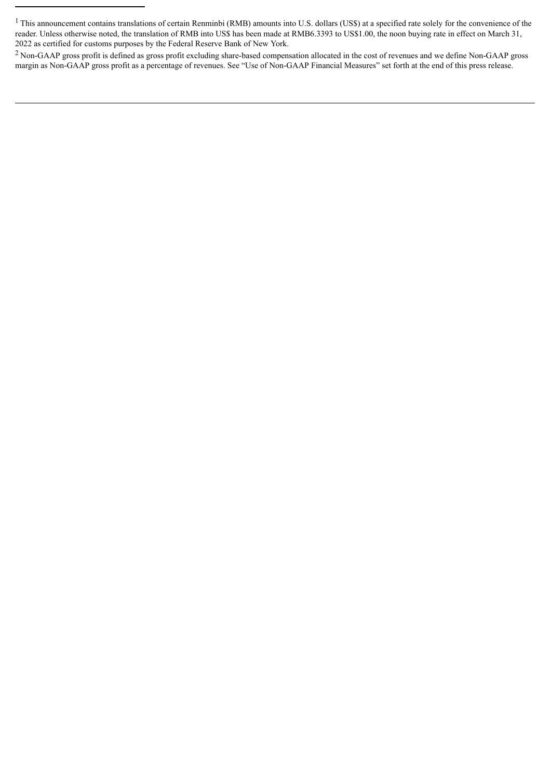<sup>2</sup> Non-GAAP gross profit is defined as gross profit excluding share-based compensation allocated in the cost of revenues and we define Non-GAAP gross margin as Non-GAAP gross profit as a percentage of revenues. See "Use of Non-GAAP Financial Measures" set forth at the end of this press release.

<sup>&</sup>lt;sup>1</sup> This announcement contains translations of certain Renminbi (RMB) amounts into U.S. dollars (US\$) at a specified rate solely for the convenience of the reader. Unless otherwise noted, the translation of RMB into US\$ has been made at RMB6.3393 to US\$1.00, the noon buying rate in effect on March 31, 2022 as certified for customs purposes by the Federal Reserve Bank of New York.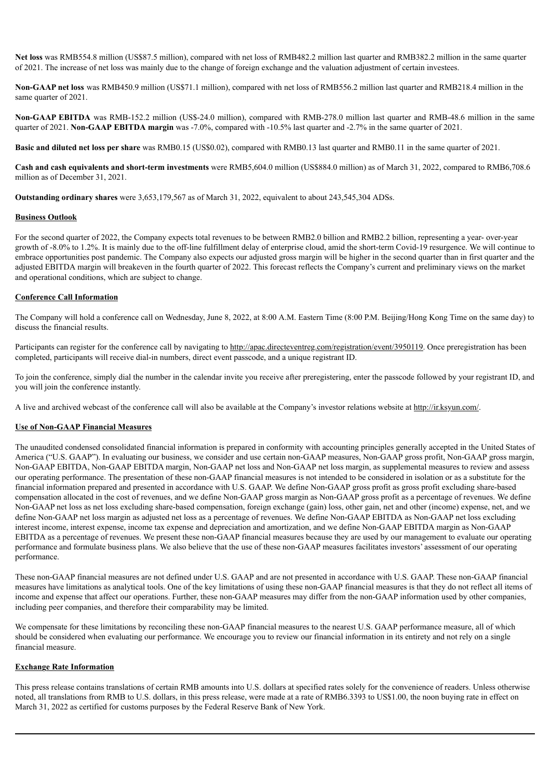**Net loss** was RMB554.8 million (US\$87.5 million), compared with net loss of RMB482.2 million last quarter and RMB382.2 million in the same quarter of 2021. The increase of net loss was mainly due to the change of foreign exchange and the valuation adjustment of certain investees.

**Non-GAAP net loss** was RMB450.9 million (US\$71.1 million), compared with net loss of RMB556.2 million last quarter and RMB218.4 million in the same quarter of 2021.

**Non-GAAP EBITDA** was RMB-152.2 million (US\$-24.0 million), compared with RMB-278.0 million last quarter and RMB-48.6 million in the same quarter of 2021. **Non-GAAP EBITDA margin** was -7.0%, compared with -10.5% last quarter and -2.7% in the same quarter of 2021.

**Basic and diluted net loss per share** was RMB0.15 (US\$0.02), compared with RMB0.13 last quarter and RMB0.11 in the same quarter of 2021.

**Cash and cash equivalents and short-term investments** were RMB5,604.0 million (US\$884.0 million) as of March 31, 2022, compared to RMB6,708.6 million as of December 31, 2021.

**Outstanding ordinary shares** were 3,653,179,567 as of March 31, 2022, equivalent to about 243,545,304 ADSs.

#### **Business Outlook**

For the second quarter of 2022, the Company expects total revenues to be between RMB2.0 billion and RMB2.2 billion, representing a year- over-year growth of -8.0% to 1.2%. It is mainly due to the off-line fulfillment delay of enterprise cloud, amid the short-term Covid-19 resurgence. We will continue to embrace opportunities post pandemic. The Company also expects our adjusted gross margin will be higher in the second quarter than in first quarter and the adjusted EBITDA margin will breakeven in the fourth quarter of 2022. This forecast reflects the Company's current and preliminary views on the market and operational conditions, which are subject to change.

#### **Conference Call Information**

The Company will hold a conference call on Wednesday, June 8, 2022, at 8:00 A.M. Eastern Time (8:00 P.M. Beijing/Hong Kong Time on the same day) to discuss the financial results.

Participants can register for the conference call by navigating to http://apac.directeventreg.com/registration/event/3950119. Once preregistration has been completed, participants will receive dial-in numbers, direct event passcode, and a unique registrant ID.

To join the conference, simply dial the number in the calendar invite you receive after preregistering, enter the passcode followed by your registrant ID, and you will join the conference instantly.

A live and archived webcast of the conference call will also be available at the Company's investor relations website at http://ir.ksyun.com/.

#### **Use of Non-GAAP Financial Measures**

The unaudited condensed consolidated financial information is prepared in conformity with accounting principles generally accepted in the United States of America ("U.S. GAAP"). In evaluating our business, we consider and use certain non-GAAP measures, Non-GAAP gross profit, Non-GAAP gross margin, Non-GAAP EBITDA, Non-GAAP EBITDA margin, Non-GAAP net loss and Non-GAAP net loss margin, as supplemental measures to review and assess our operating performance. The presentation of these non-GAAP financial measures is not intended to be considered in isolation or as a substitute for the financial information prepared and presented in accordance with U.S. GAAP. We define Non-GAAP gross profit as gross profit excluding share-based compensation allocated in the cost of revenues, and we define Non-GAAP gross margin as Non-GAAP gross profit as a percentage of revenues. We define Non-GAAP net loss as net loss excluding share-based compensation, foreign exchange (gain) loss, other gain, net and other (income) expense, net, and we define Non-GAAP net loss margin as adjusted net loss as a percentage of revenues. We define Non-GAAP EBITDA as Non-GAAP net loss excluding interest income, interest expense, income tax expense and depreciation and amortization, and we define Non-GAAP EBITDA margin as Non-GAAP EBITDA as a percentage of revenues. We present these non-GAAP financial measures because they are used by our management to evaluate our operating performance and formulate business plans. We also believe that the use of these non-GAAP measures facilitates investors' assessment of our operating performance.

These non-GAAP financial measures are not defined under U.S. GAAP and are not presented in accordance with U.S. GAAP. These non-GAAP financial measures have limitations as analytical tools. One of the key limitations of using these non-GAAP financial measures is that they do not reflect all items of income and expense that affect our operations. Further, these non-GAAP measures may differ from the non-GAAP information used by other companies, including peer companies, and therefore their comparability may be limited.

We compensate for these limitations by reconciling these non-GAAP financial measures to the nearest U.S. GAAP performance measure, all of which should be considered when evaluating our performance. We encourage you to review our financial information in its entirety and not rely on a single financial measure.

#### **Exchange Rate Information**

This press release contains translations of certain RMB amounts into U.S. dollars at specified rates solely for the convenience of readers. Unless otherwise noted, all translations from RMB to U.S. dollars, in this press release, were made at a rate of RMB6.3393 to US\$1.00, the noon buying rate in effect on March 31, 2022 as certified for customs purposes by the Federal Reserve Bank of New York.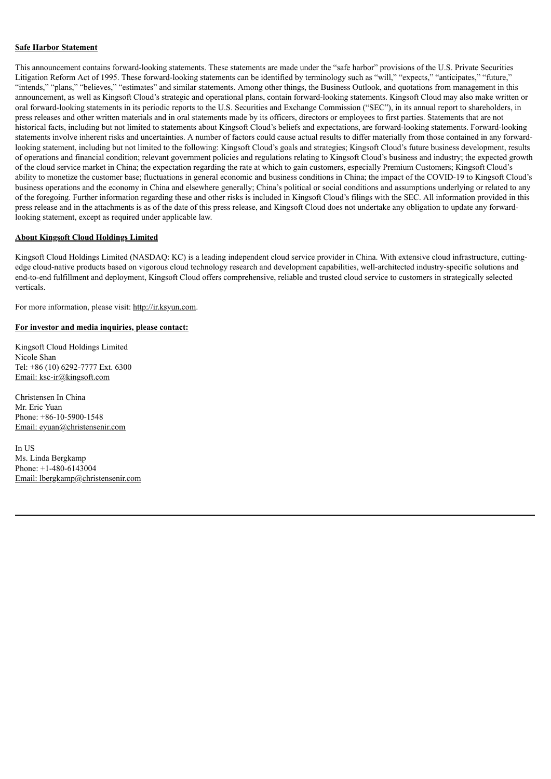#### **Safe Harbor Statement**

This announcement contains forward-looking statements. These statements are made under the "safe harbor" provisions of the U.S. Private Securities Litigation Reform Act of 1995. These forward-looking statements can be identified by terminology such as "will," "expects," "anticipates," "future," "intends," "plans," "believes," "estimates" and similar statements. Among other things, the Business Outlook, and quotations from management in this announcement, as well as Kingsoft Cloud's strategic and operational plans, contain forward-looking statements. Kingsoft Cloud may also make written or oral forward-looking statements in its periodic reports to the U.S. Securities and Exchange Commission ("SEC"), in its annual report to shareholders, in press releases and other written materials and in oral statements made by its officers, directors or employees to first parties. Statements that are not historical facts, including but not limited to statements about Kingsoft Cloud's beliefs and expectations, are forward-looking statements. Forward-looking statements involve inherent risks and uncertainties. A number of factors could cause actual results to differ materially from those contained in any forwardlooking statement, including but not limited to the following: Kingsoft Cloud's goals and strategies; Kingsoft Cloud's future business development, results of operations and financial condition; relevant government policies and regulations relating to Kingsoft Cloud's business and industry; the expected growth of the cloud service market in China; the expectation regarding the rate at which to gain customers, especially Premium Customers; Kingsoft Cloud's ability to monetize the customer base; fluctuations in general economic and business conditions in China; the impact of the COVID-19 to Kingsoft Cloud's business operations and the economy in China and elsewhere generally; China's political or social conditions and assumptions underlying or related to any of the foregoing. Further information regarding these and other risks is included in Kingsoft Cloud's filings with the SEC. All information provided in this press release and in the attachments is as of the date of this press release, and Kingsoft Cloud does not undertake any obligation to update any forwardlooking statement, except as required under applicable law.

#### **About Kingsoft Cloud Holdings Limited**

Kingsoft Cloud Holdings Limited (NASDAQ: KC) is a leading independent cloud service provider in China. With extensive cloud infrastructure, cuttingedge cloud-native products based on vigorous cloud technology research and development capabilities, well-architected industry-specific solutions and end-to-end fulfillment and deployment, Kingsoft Cloud offers comprehensive, reliable and trusted cloud service to customers in strategically selected verticals.

For more information, please visit: http://ir.ksyun.com.

#### **For investor and media inquiries, please contact:**

Kingsoft Cloud Holdings Limited Nicole Shan Tel: +86 (10) 6292-7777 Ext. 6300 Email: ksc-ir@kingsoft.com

Christensen In China Mr. Eric Yuan Phone: +86-10-5900-1548 Email: eyuan@christensenir.com

In H<sub>S</sub> Ms. Linda Bergkamp Phone: +1-480-6143004 Email: lbergkamp@christensenir.com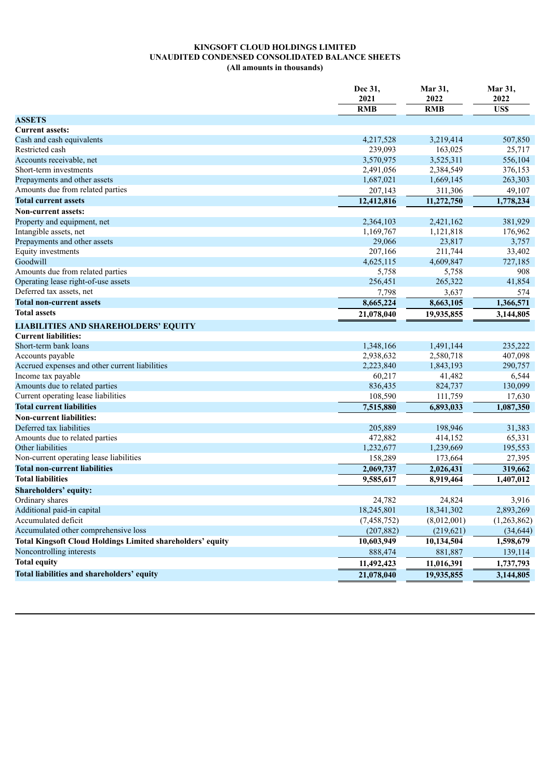## **KINGSOFT CLOUD HOLDINGS LIMITED UNAUDITED CONDENSED CONSOLIDATED BALANCE SHEETS (All amounts in thousands)**

|                                                                   | Dec 31,<br>2021<br><b>RMB</b> | Mar 31,<br>2022<br><b>RMB</b> | Mar 31,<br>2022<br>US\$ |
|-------------------------------------------------------------------|-------------------------------|-------------------------------|-------------------------|
| <b>ASSETS</b>                                                     |                               |                               |                         |
| <b>Current assets:</b>                                            |                               |                               |                         |
| Cash and cash equivalents                                         | 4,217,528                     | 3,219,414                     | 507,850                 |
| Restricted cash                                                   | 239,093                       | 163,025                       | 25,717                  |
| Accounts receivable, net                                          | 3,570,975                     | 3,525,311                     | 556,104                 |
| Short-term investments                                            | 2,491,056                     | 2,384,549                     | 376,153                 |
| Prepayments and other assets                                      | 1,687,021                     | 1,669,145                     | 263,303                 |
| Amounts due from related parties                                  | 207,143                       | 311,306                       | 49,107                  |
| <b>Total current assets</b>                                       | 12,412,816                    | 11,272,750                    | 1,778,234               |
| Non-current assets:                                               |                               |                               |                         |
| Property and equipment, net                                       | 2,364,103                     | 2,421,162                     | 381,929                 |
| Intangible assets, net                                            | 1,169,767                     | 1,121,818                     | 176,962                 |
| Prepayments and other assets                                      | 29,066                        | 23,817                        | 3,757                   |
| Equity investments                                                | 207,166                       | 211,744                       | 33,402                  |
| Goodwill                                                          | 4,625,115                     | 4,609,847                     | 727,185                 |
| Amounts due from related parties                                  | 5,758                         | 5,758                         | 908                     |
| Operating lease right-of-use assets                               | 256,451                       | 265,322                       | 41,854                  |
| Deferred tax assets, net                                          | 7,798                         | 3,637                         | 574                     |
| <b>Total non-current assets</b>                                   | 8,665,224                     | 8,663,105                     | 1,366,571               |
| <b>Total assets</b>                                               | 21,078,040                    | 19,935,855                    | 3,144,805               |
| <b>LIABILITIES AND SHAREHOLDERS' EQUITY</b>                       |                               |                               |                         |
| <b>Current liabilities:</b>                                       |                               |                               |                         |
| Short-term bank loans                                             | 1,348,166                     | 1,491,144                     | 235,222                 |
| Accounts payable                                                  | 2,938,632                     | 2,580,718                     | 407,098                 |
| Accrued expenses and other current liabilities                    | 2,223,840                     | 1,843,193                     | 290,757                 |
| Income tax payable                                                | 60,217                        | 41,482                        | 6,544                   |
| Amounts due to related parties                                    | 836,435                       | 824,737                       | 130,099                 |
| Current operating lease liabilities                               | 108,590                       | 111,759                       | 17,630                  |
| <b>Total current liabilities</b>                                  | 7,515,880                     | 6,893,033                     | 1,087,350               |
| <b>Non-current liabilities:</b>                                   |                               |                               |                         |
| Deferred tax liabilities                                          | 205,889                       | 198,946                       | 31,383                  |
| Amounts due to related parties                                    | 472,882                       | 414,152                       | 65,331                  |
| Other liabilities                                                 | 1,232,677                     | 1,239,669                     | 195,553                 |
| Non-current operating lease liabilities                           | 158,289                       | 173,664                       | 27,395                  |
| <b>Total non-current liabilities</b>                              | 2,069,737                     | 2,026,431                     | 319,662                 |
| <b>Total liabilities</b>                                          | 9,585,617                     | 8,919,464                     | 1,407,012               |
| Shareholders' equity:                                             |                               |                               |                         |
| Ordinary shares                                                   | 24,782                        | 24,824                        | 3,916                   |
| Additional paid-in capital                                        | 18,245,801                    | 18,341,302                    | 2,893,269               |
| Accumulated deficit                                               | (7, 458, 752)                 | (8,012,001)                   | (1,263,862)             |
| Accumulated other comprehensive loss                              | (207, 882)                    | (219, 621)                    | (34, 644)               |
| <b>Total Kingsoft Cloud Holdings Limited shareholders' equity</b> | 10,603,949                    | 10,134,504                    | 1,598,679               |
| Noncontrolling interests                                          | 888,474                       | 881,887                       | 139,114                 |
| <b>Total equity</b>                                               | 11,492,423                    | 11,016,391                    | 1,737,793               |
| Total liabilities and shareholders' equity                        | 21,078,040                    | 19,935,855                    | 3,144,805               |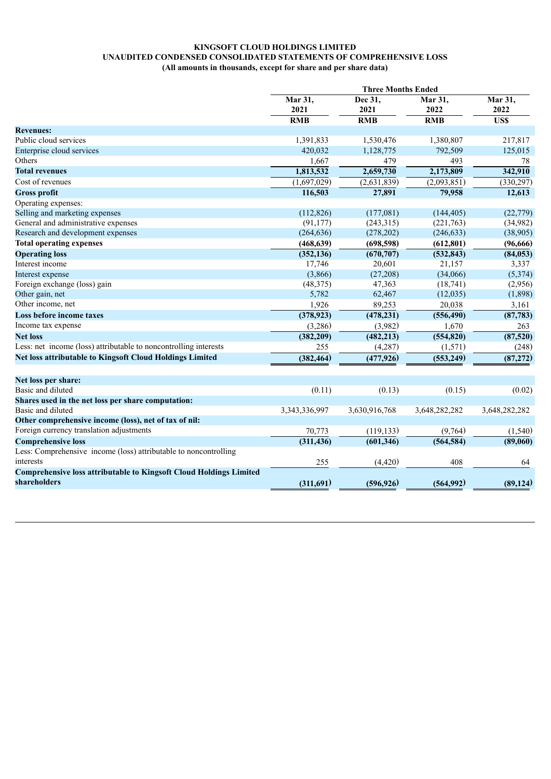# **KINGSOFT CLOUD HOLDINGS LIMITED UNAUDITED CONDENSED CONSOLIDATED STATEMENTS OF COMPREHENSIVE LOSS (All amounts in thousands, except for share and per share data)**

|                                                                           | <b>Three Months Ended</b> |                 |                 |                         |
|---------------------------------------------------------------------------|---------------------------|-----------------|-----------------|-------------------------|
|                                                                           | Mar 31,<br>2021           | Dec 31,<br>2021 | Mar 31,<br>2022 | Mar 31,<br>2022<br>US\$ |
|                                                                           | <b>RMB</b>                | <b>RMB</b>      | <b>RMB</b>      |                         |
| <b>Revenues:</b>                                                          |                           |                 |                 |                         |
| Public cloud services                                                     | 1,391,833                 | 1,530,476       | 1,380,807       | 217,817                 |
| Enterprise cloud services                                                 | 420,032                   | 1,128,775       | 792,509         | 125,015                 |
| Others                                                                    | 1,667                     | 479             | 493             | 78                      |
| <b>Total revenues</b>                                                     | 1,813,532                 | 2,659,730       | 2,173,809       | 342,910                 |
| Cost of revenues                                                          | (1,697,029)               | (2,631,839)     | (2,093,851)     | (330, 297)              |
| <b>Gross profit</b>                                                       | 116,503                   | 27,891          | 79,958          | 12,613                  |
| Operating expenses:                                                       |                           |                 |                 |                         |
| Selling and marketing expenses                                            | (112, 826)                | (177,081)       | (144, 405)      | (22, 779)               |
| General and administrative expenses                                       | (91, 177)                 | (243, 315)      | (221,763)       | (34,982)                |
| Research and development expenses                                         | (264, 636)                | (278, 202)      | (246, 633)      | (38,905)                |
| <b>Total operating expenses</b>                                           | (468, 639)                | (698, 598)      | (612, 801)      | (96, 666)               |
| <b>Operating loss</b>                                                     | (352, 136)                | (670, 707)      | (532, 843)      | (84, 053)               |
| Interest income                                                           | 17,746                    | 20,601          | 21,157          | 3,337                   |
| Interest expense                                                          | (3,866)                   | (27, 208)       | (34,066)        | (5,374)                 |
| Foreign exchange (loss) gain                                              | (48, 375)                 | 47,363          | (18, 741)       | (2,956)                 |
| Other gain, net                                                           | 5,782                     | 62,467          | (12, 035)       | (1,898)                 |
| Other income, net                                                         | 1,926                     | 89,253          | 20,038          | 3,161                   |
| Loss before income taxes                                                  | (378, 923)                | (478, 231)      | (556, 490)      | (87, 783)               |
| Income tax expense                                                        | (3,286)                   | (3,982)         | 1,670           | 263                     |
| <b>Net loss</b>                                                           | (382, 209)                | (482, 213)      | (554, 820)      | (87, 520)               |
| Less: net income (loss) attributable to noncontrolling interests          | 255                       | (4, 287)        | (1,571)         | (248)                   |
| <b>Net loss attributable to Kingsoft Cloud Holdings Limited</b>           | (382, 464)                | (477, 926)      | (553, 249)      | (87, 272)               |
| Net loss per share:                                                       |                           |                 |                 |                         |
| Basic and diluted                                                         | (0.11)                    | (0.13)          | (0.15)          | (0.02)                  |
| Shares used in the net loss per share computation:                        |                           |                 |                 |                         |
| Basic and diluted                                                         | 3,343,336,997             | 3,630,916,768   | 3,648,282,282   | 3,648,282,282           |
| Other comprehensive income (loss), net of tax of nil:                     |                           |                 |                 |                         |
| Foreign currency translation adjustments                                  | 70,773                    | (119, 133)      | (9,764)         | (1, 540)                |
| <b>Comprehensive loss</b>                                                 | (311, 436)                | (601, 346)      | (564, 584)      | (89,060)                |
| Less: Comprehensive income (loss) attributable to noncontrolling          |                           |                 |                 |                         |
| interests                                                                 | 255                       | (4, 420)        | 408             | 64                      |
| <b>Comprehensive loss attributable to Kingsoft Cloud Holdings Limited</b> |                           |                 |                 |                         |
| shareholders                                                              | (311,691)                 | (596, 926)      | (564, 992)      | (89, 124)               |
|                                                                           |                           |                 |                 |                         |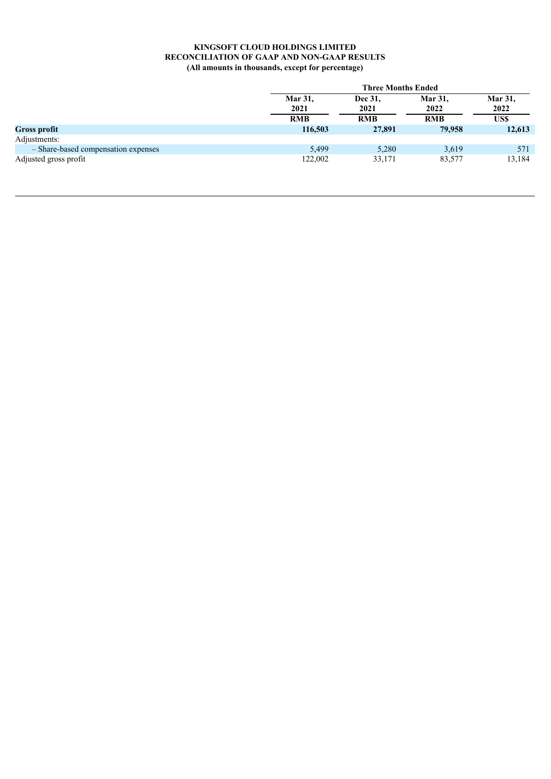|                                     |                        | <b>Three Months Ended</b> |                        |                        |  |
|-------------------------------------|------------------------|---------------------------|------------------------|------------------------|--|
|                                     | <b>Mar 31,</b><br>2021 | Dec 31,<br>2021           | <b>Mar 31,</b><br>2022 | <b>Mar 31,</b><br>2022 |  |
|                                     | <b>RMB</b>             | <b>RMB</b>                | <b>RMB</b>             | US\$                   |  |
| <b>Gross profit</b>                 | 116,503                | 27,891                    | 79,958                 | 12,613                 |  |
| Adjustments:                        |                        |                           |                        |                        |  |
| - Share-based compensation expenses | 5,499                  | 5,280                     | 3,619                  | 571                    |  |
| Adjusted gross profit               | 122,002                | 33,171                    | 83,577                 | 13,184                 |  |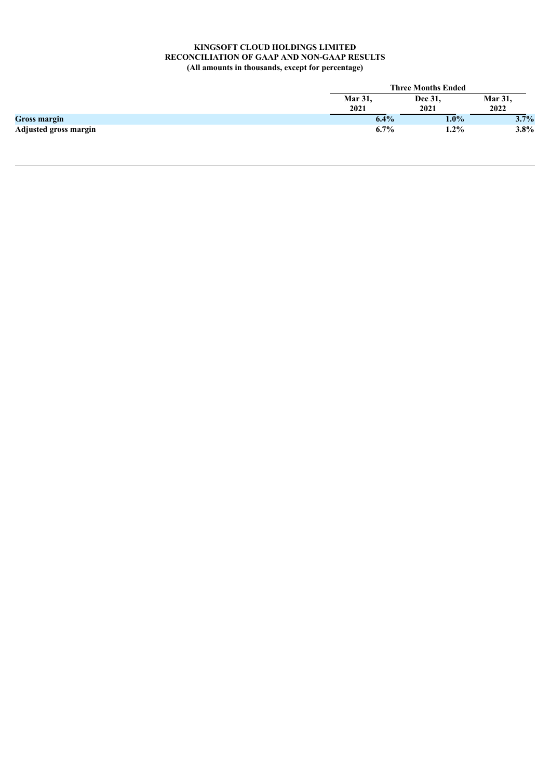|                              |                | <b>Three Months Ended</b> |                |  |  |
|------------------------------|----------------|---------------------------|----------------|--|--|
|                              | <b>Mar 31,</b> | Dec 31,                   | <b>Mar 31,</b> |  |  |
|                              | 2021           | 2021                      | 2022           |  |  |
| <b>Gross margin</b>          | 6.4%           | $1.0\%$                   | 3.7%           |  |  |
| <b>Adjusted gross margin</b> | 6.7%           | $1.2\%$                   | $3.8\%$        |  |  |
|                              |                |                           |                |  |  |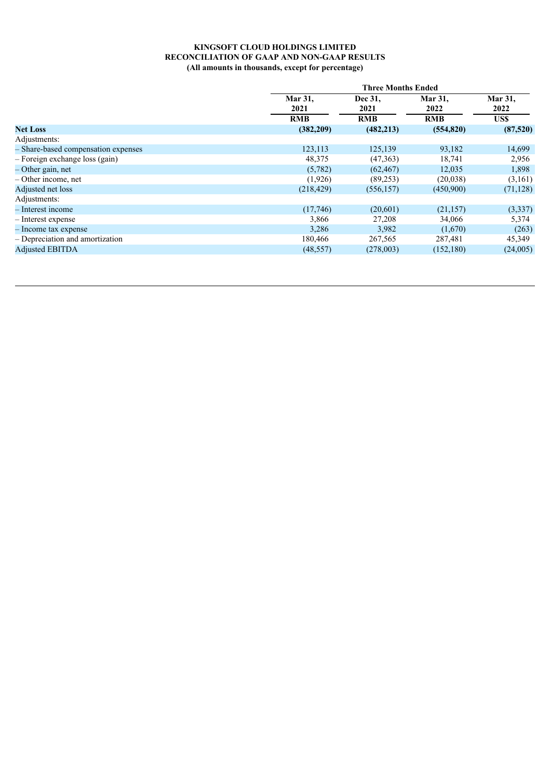| Mar 31,<br>Dec 31,<br>Mar 31,<br><b>Mar 31,</b><br>2022<br>2021<br>2021<br>2022 | US\$      |
|---------------------------------------------------------------------------------|-----------|
|                                                                                 |           |
| <b>RMB</b><br><b>RMB</b><br><b>RMB</b>                                          |           |
| (482, 213)<br>(554, 820)<br>(382, 209)<br><b>Net Loss</b>                       | (87,520)  |
| Adjustments:                                                                    |           |
| 93,182<br>- Share-based compensation expenses<br>123,113<br>125,139             | 14,699    |
| $-$ Foreign exchange loss (gain)<br>48,375<br>(47,363)<br>18,741                | 2,956     |
| – Other gain, net<br>(5,782)<br>(62, 467)<br>12,035                             | 1,898     |
| $-$ Other income, net<br>(1,926)<br>(89,253)<br>(20,038)                        | (3,161)   |
| Adjusted net loss<br>(218, 429)<br>(556, 157)<br>(450,900)                      | (71, 128) |
| Adjustments:                                                                    |           |
| (17,746)<br>(20,601)<br>(21, 157)<br>- Interest income                          | (3,337)   |
| 3,866<br>27,208<br>34,066<br>- Interest expense                                 | 5,374     |
| 3,286<br>3,982<br>(1,670)<br>- Income tax expense                               | (263)     |
| - Depreciation and amortization<br>180,466<br>267,565<br>287,481                | 45,349    |
| <b>Adjusted EBITDA</b><br>(152, 180)<br>(48, 557)<br>(278,003)                  | (24,005)  |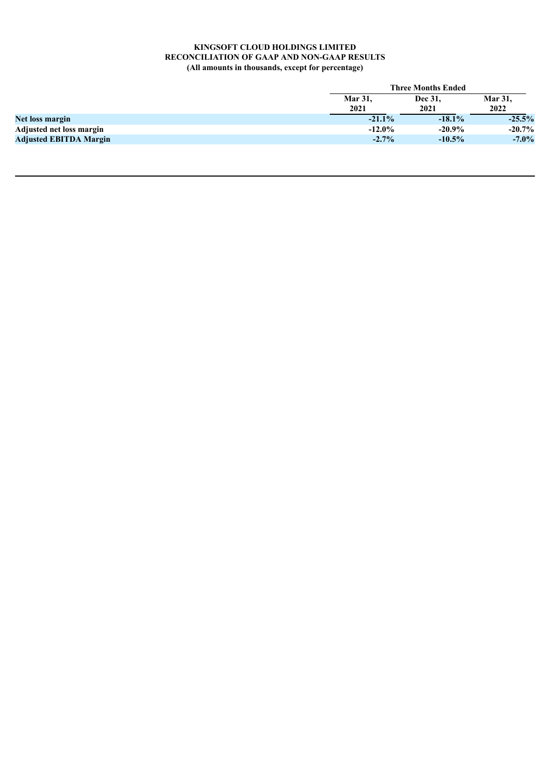|                               | <b>Three Months Ended</b> |           |                |  |
|-------------------------------|---------------------------|-----------|----------------|--|
|                               | <b>Mar 31.</b>            | Dec 31,   | <b>Mar 31,</b> |  |
|                               | 2021                      | 2021      | 2022           |  |
| Net loss margin               | $-21.1\%$                 | $-18.1\%$ | $-25.5%$       |  |
| Adjusted net loss margin      | $-12.0\%$                 | $-20.9\%$ | $-20.7\%$      |  |
| <b>Adjusted EBITDA Margin</b> | $-2.7\%$                  | $-10.5\%$ | $-7.0\%$       |  |